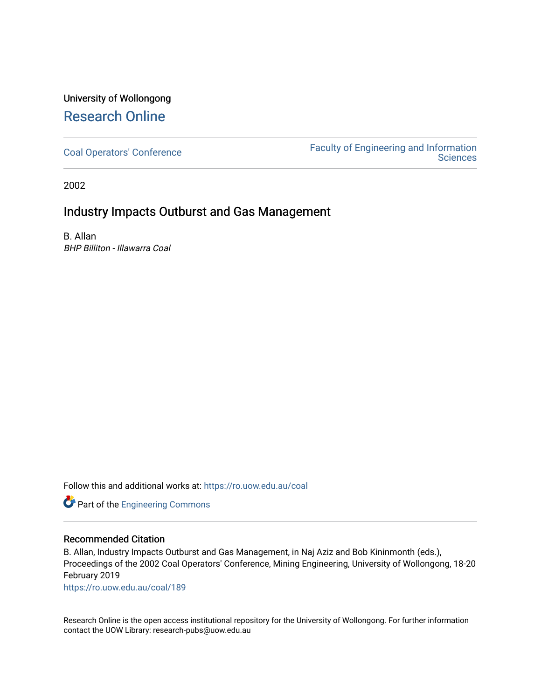## University of Wollongong [Research Online](https://ro.uow.edu.au/)

[Coal Operators' Conference](https://ro.uow.edu.au/coal) [Faculty of Engineering and Information](https://ro.uow.edu.au/eis)  **Sciences** 

2002

## Industry Impacts Outburst and Gas Management

B. Allan BHP Billiton - Illawarra Coal

Follow this and additional works at: [https://ro.uow.edu.au/coal](https://ro.uow.edu.au/coal?utm_source=ro.uow.edu.au%2Fcoal%2F189&utm_medium=PDF&utm_campaign=PDFCoverPages) 

Part of the [Engineering Commons](http://network.bepress.com/hgg/discipline/217?utm_source=ro.uow.edu.au%2Fcoal%2F189&utm_medium=PDF&utm_campaign=PDFCoverPages)

### Recommended Citation

B. Allan, Industry Impacts Outburst and Gas Management, in Naj Aziz and Bob Kininmonth (eds.), Proceedings of the 2002 Coal Operators' Conference, Mining Engineering, University of Wollongong, 18-20 February 2019

[https://ro.uow.edu.au/coal/189](https://ro.uow.edu.au/coal/189?utm_source=ro.uow.edu.au%2Fcoal%2F189&utm_medium=PDF&utm_campaign=PDFCoverPages) 

Research Online is the open access institutional repository for the University of Wollongong. For further information contact the UOW Library: research-pubs@uow.edu.au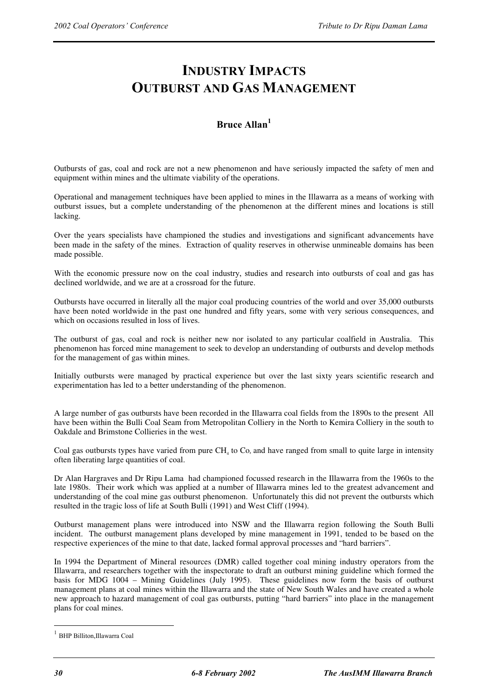# **INDUSTRY IMPACTS OUTBURST AND GAS MANAGEMENT**

### **Bruce Allan<sup>1</sup>**

Outbursts of gas, coal and rock are not a new phenomenon and have seriously impacted the safety of men and equipment within mines and the ultimate viability of the operations.

Operational and management techniques have been applied to mines in the Illawarra as a means of working with outburst issues, but a complete understanding of the phenomenon at the different mines and locations is still lacking.

Over the years specialists have championed the studies and investigations and significant advancements have been made in the safety of the mines. Extraction of quality reserves in otherwise unmineable domains has been made possible.

With the economic pressure now on the coal industry, studies and research into outbursts of coal and gas has declined worldwide, and we are at a crossroad for the future.

Outbursts have occurred in literally all the major coal producing countries of the world and over 35,000 outbursts have been noted worldwide in the past one hundred and fifty years, some with very serious consequences, and which on occasions resulted in loss of lives.

The outburst of gas, coal and rock is neither new nor isolated to any particular coalfield in Australia. This phenomenon has forced mine management to seek to develop an understanding of outbursts and develop methods for the management of gas within mines.

Initially outbursts were managed by practical experience but over the last sixty years scientific research and experimentation has led to a better understanding of the phenomenon.

A large number of gas outbursts have been recorded in the Illawarra coal fields from the 1890s to the present All have been within the Bulli Coal Seam from Metropolitan Colliery in the North to Kemira Colliery in the south to Oakdale and Brimstone Collieries in the west.

Coal gas outbursts types have varied from pure  $CH_4$  to  $Co$ , and have ranged from small to quite large in intensity often liberating large quantities of coal.

Dr Alan Hargraves and Dr Ripu Lama had championed focussed research in the Illawarra from the 1960s to the late 1980s. Their work which was applied at a number of Illawarra mines led to the greatest advancement and understanding of the coal mine gas outburst phenomenon. Unfortunately this did not prevent the outbursts which resulted in the tragic loss of life at South Bulli (1991) and West Cliff (1994).

Outburst management plans were introduced into NSW and the Illawarra region following the South Bulli incident. The outburst management plans developed by mine management in 1991, tended to be based on the respective experiences of the mine to that date, lacked formal approval processes and "hard barriers".

In 1994 the Department of Mineral resources (DMR) called together coal mining industry operators from the Illawarra, and researchers together with the inspectorate to draft an outburst mining guideline which formed the basis for MDG 1004 – Mining Guidelines (July 1995). These guidelines now form the basis of outburst management plans at coal mines within the Illawarra and the state of New South Wales and have created a whole new approach to hazard management of coal gas outbursts, putting "hard barriers" into place in the management plans for coal mines.

 $\overline{a}$ 

<sup>&</sup>lt;sup>1</sup> BHP Billiton, Illawarra Coal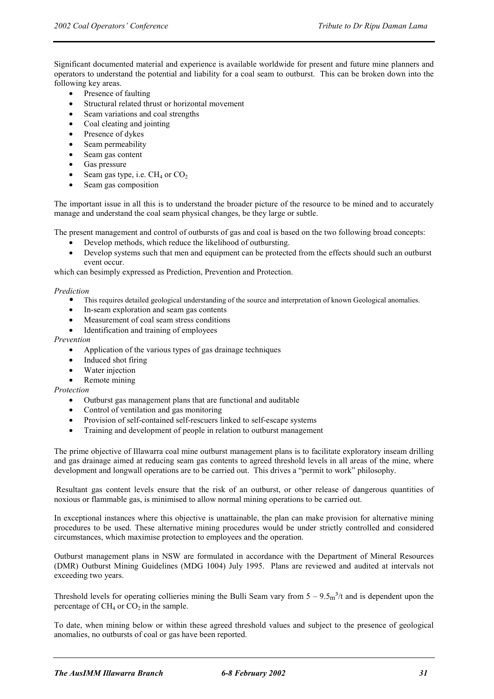Significant documented material and experience is available worldwide for present and future mine planners and operators to understand the potential and liability for a coal seam to outburst. This can be broken down into the following key areas.

- Presence of faulting
- Structural related thrust or horizontal movement
- Seam variations and coal strengths
- Coal cleating and jointing
- Presence of dykes
- Seam permeability
- Seam gas content
- Gas pressure
- Seam gas type, i.e.  $CH_4$  or  $CO_2$
- Seam gas composition

The important issue in all this is to understand the broader picture of the resource to be mined and to accurately manage and understand the coal seam physical changes, be they large or subtle.

The present management and control of outbursts of gas and coal is based on the two following broad concepts:

- Develop methods, which reduce the likelihood of outbursting.
- Develop systems such that men and equipment can be protected from the effects should such an outburst event occur.

which can besimply expressed as Prediction, Prevention and Protection.

*Prediction* 

- This requires detailed geological understanding of the source and interpretation of known Geological anomalies.
- In-seam exploration and seam gas contents
- Measurement of coal seam stress conditions
- Identification and training of employees

#### *Prevention*

- Application of the various types of gas drainage techniques
- Induced shot firing
- Water injection
- Remote mining

*Protection* 

- Outburst gas management plans that are functional and auditable
- Control of ventilation and gas monitoring
- Provision of self-contained self-rescuers linked to self-escape systems
- Training and development of people in relation to outburst management

The prime objective of Illawarra coal mine outburst management plans is to facilitate exploratory inseam drilling and gas drainage aimed at reducing seam gas contents to agreed threshold levels in all areas of the mine, where development and longwall operations are to be carried out. This drives a "permit to work" philosophy.

 Resultant gas content levels ensure that the risk of an outburst, or other release of dangerous quantities of noxious or flammable gas, is minimised to allow normal mining operations to be carried out.

In exceptional instances where this objective is unattainable, the plan can make provision for alternative mining procedures to be used. These alternative mining procedures would be under strictly controlled and considered circumstances, which maximise protection to employees and the operation.

Outburst management plans in NSW are formulated in accordance with the Department of Mineral Resources (DMR) Outburst Mining Guidelines (MDG 1004) July 1995. Plans are reviewed and audited at intervals not exceeding two years.

Threshold levels for operating collieries mining the Bulli Seam vary from  $5 - 9.5<sub>m</sub><sup>3</sup>/t$  and is dependent upon the percentage of  $CH_4$  or  $CO_2$  in the sample.

To date, when mining below or within these agreed threshold values and subject to the presence of geological anomalies, no outbursts of coal or gas have been reported.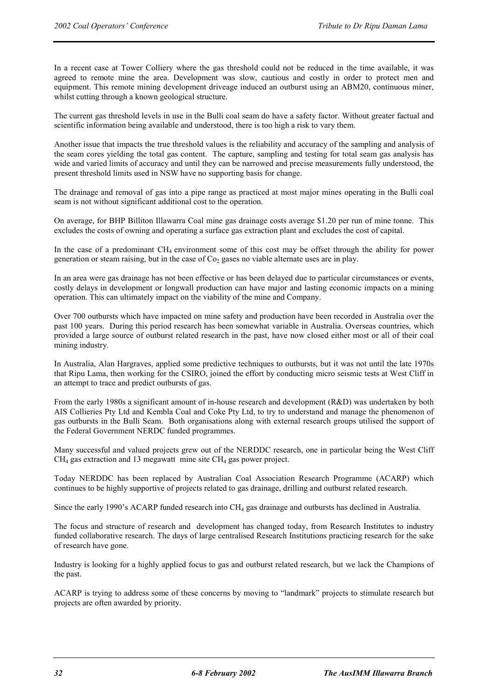In a recent case at Tower Colliery where the gas threshold could not be reduced in the time available, it was agreed to remote mine the area. Development was slow, cautious and costly in order to protect men and equipment. This remote mining development driveage induced an outburst using an ABM20, continuous miner, whilst cutting through a known geological structure.

The current gas threshold levels in use in the Bulli coal seam do have a safety factor. Without greater factual and scientific information being available and understood, there is too high a risk to vary them.

Another issue that impacts the true threshold values is the reliability and accuracy of the sampling and analysis of the seam cores yielding the total gas content. The capture, sampling and testing for total seam gas analysis has wide and varied limits of accuracy and until they can be narrowed and precise measurements fully understood, the present threshold limits used in NSW have no supporting basis for change.

The drainage and removal of gas into a pipe range as practiced at most major mines operating in the Bulli coal seam is not without significant additional cost to the operation.

On average, for BHP Billiton Illawarra Coal mine gas drainage costs average \$1.20 per run of mine tonne. This excludes the costs of owning and operating a surface gas extraction plant and excludes the cost of capital.

In the case of a predominant  $CH_4$  environment some of this cost may be offset through the ability for power generation or steam raising, but in the case of  $Co<sub>2</sub>$  gases no viable alternate uses are in play.

In an area were gas drainage has not been effective or has been delayed due to particular circumstances or events, costly delays in development or longwall production can have major and lasting economic impacts on a mining operation. This can ultimately impact on the viability of the mine and Company.

Over 700 outbursts which have impacted on mine safety and production have been recorded in Australia over the past 100 years. During this period research has been somewhat variable in Australia. Overseas countries, which provided a large source of outburst related research in the past, have now closed either most or all of their coal mining industry.

In Australia, Alan Hargraves, applied some predictive techniques to outbursts, but it was not until the late 1970s that Ripu Lama, then working for the CSIRO, joined the effort by conducting micro seismic tests at West Cliff in an attempt to trace and predict outbursts of gas.

From the early 1980s a significant amount of in-house research and development (R&D) was undertaken by both AIS Collieries Pty Ltd and Kembla Coal and Coke Pty Ltd, to try to understand and manage the phenomenon of gas outbursts in the Bulli Seam. Both organisations along with external research groups utilised the support of the Federal Government NERDC funded programmes.

Many successful and valued projects grew out of the NERDDC research, one in particular being the West Cliff  $CH<sub>4</sub>$  gas extraction and 13 megawatt mine site  $CH<sub>4</sub>$  gas power project.

Today NERDDC has been replaced by Australian Coal Association Research Programme (ACARP) which continues to be highly supportive of projects related to gas drainage, drilling and outburst related research.

Since the early 1990's ACARP funded research into CH<sub>4</sub> gas drainage and outbursts has declined in Australia.

The focus and structure of research and development has changed today, from Research Institutes to industry funded collaborative research. The days of large centralised Research Institutions practicing research for the sake of research have gone.

Industry is looking for a highly applied focus to gas and outburst related research, but we lack the Champions of the past.

ACARP is trying to address some of these concerns by moving to "landmark" projects to stimulate research but projects are often awarded by priority.